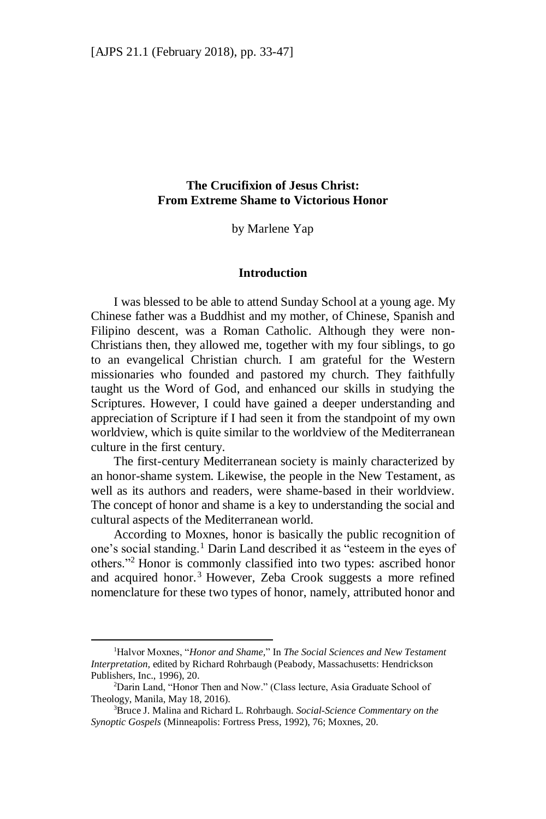# **The Crucifixion of Jesus Christ: From Extreme Shame to Victorious Honor**

by Marlene Yap

#### **Introduction**

I was blessed to be able to attend Sunday School at a young age. My Chinese father was a Buddhist and my mother, of Chinese, Spanish and Filipino descent, was a Roman Catholic. Although they were non-Christians then, they allowed me, together with my four siblings, to go to an evangelical Christian church. I am grateful for the Western missionaries who founded and pastored my church. They faithfully taught us the Word of God, and enhanced our skills in studying the Scriptures. However, I could have gained a deeper understanding and appreciation of Scripture if I had seen it from the standpoint of my own worldview, which is quite similar to the worldview of the Mediterranean culture in the first century.

The first-century Mediterranean society is mainly characterized by an honor-shame system. Likewise, the people in the New Testament, as well as its authors and readers, were shame-based in their worldview. The concept of honor and shame is a key to understanding the social and cultural aspects of the Mediterranean world.

According to Moxnes, honor is basically the public recognition of one's social standing.<sup>1</sup> Darin Land described it as "esteem in the eyes of others."<sup>2</sup> Honor is commonly classified into two types: ascribed honor and acquired honor.<sup>3</sup> However, Zeba Crook suggests a more refined nomenclature for these two types of honor, namely, attributed honor and

<sup>1</sup>Halvor Moxnes, "*Honor and Shame,*" In *The Social Sciences and New Testament Interpretation,* edited by Richard Rohrbaugh (Peabody, Massachusetts: Hendrickson Publishers, Inc., 1996), 20.

<sup>&</sup>lt;sup>2</sup>Darin Land, "Honor Then and Now." (Class lecture, Asia Graduate School of Theology, Manila, May 18, 2016).

<sup>3</sup>Bruce J. Malina and Richard L. Rohrbaugh. *Social-Science Commentary on the Synoptic Gospels* (Minneapolis: Fortress Press, 1992), 76; Moxnes, 20.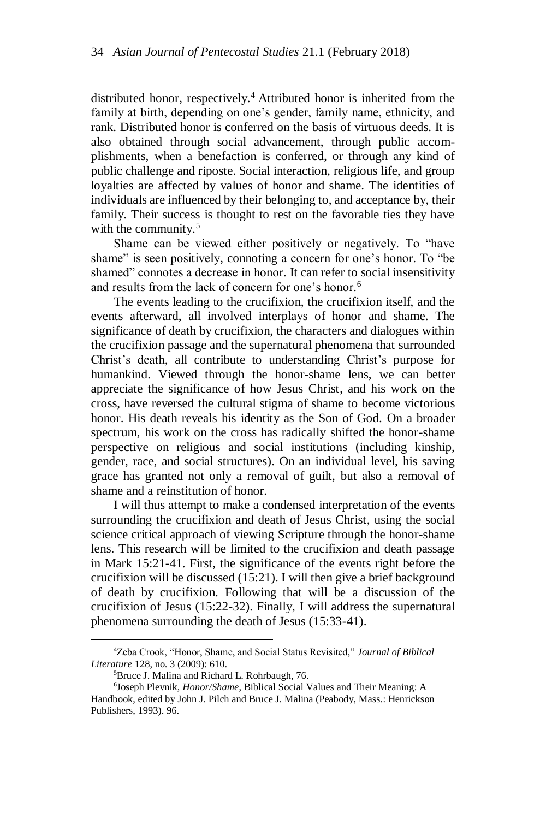distributed honor, respectively. <sup>4</sup> Attributed honor is inherited from the family at birth, depending on one's gender, family name, ethnicity, and rank. Distributed honor is conferred on the basis of virtuous deeds. It is also obtained through social advancement, through public accomplishments, when a benefaction is conferred, or through any kind of public challenge and riposte. Social interaction, religious life, and group loyalties are affected by values of honor and shame. The identities of individuals are influenced by their belonging to, and acceptance by, their family. Their success is thought to rest on the favorable ties they have with the community. $5$ 

Shame can be viewed either positively or negatively. To "have shame" is seen positively, connoting a concern for one's honor. To "be shamed" connotes a decrease in honor. It can refer to social insensitivity and results from the lack of concern for one's honor.<sup>6</sup>

The events leading to the crucifixion, the crucifixion itself, and the events afterward, all involved interplays of honor and shame. The significance of death by crucifixion, the characters and dialogues within the crucifixion passage and the supernatural phenomena that surrounded Christ's death, all contribute to understanding Christ's purpose for humankind. Viewed through the honor-shame lens, we can better appreciate the significance of how Jesus Christ, and his work on the cross, have reversed the cultural stigma of shame to become victorious honor. His death reveals his identity as the Son of God. On a broader spectrum, his work on the cross has radically shifted the honor-shame perspective on religious and social institutions (including kinship, gender, race, and social structures). On an individual level, his saving grace has granted not only a removal of guilt, but also a removal of shame and a reinstitution of honor.

I will thus attempt to make a condensed interpretation of the events surrounding the crucifixion and death of Jesus Christ, using the social science critical approach of viewing Scripture through the honor-shame lens. This research will be limited to the crucifixion and death passage in Mark 15:21-41. First, the significance of the events right before the crucifixion will be discussed (15:21). I will then give a brief background of death by crucifixion. Following that will be a discussion of the crucifixion of Jesus (15:22-32). Finally, I will address the supernatural phenomena surrounding the death of Jesus (15:33-41).

<sup>4</sup>Zeba Crook, "Honor, Shame, and Social Status Revisited," *Journal of Biblical Literature* 128, no. 3 (2009): 610.

<sup>5</sup>Bruce J. Malina and Richard L. Rohrbaugh, 76.

<sup>6</sup> Joseph Plevnik, *Honor/Shame*, Biblical Social Values and Their Meaning: A Handbook, edited by John J. Pilch and Bruce J. Malina (Peabody, Mass.: Henrickson Publishers, 1993). 96.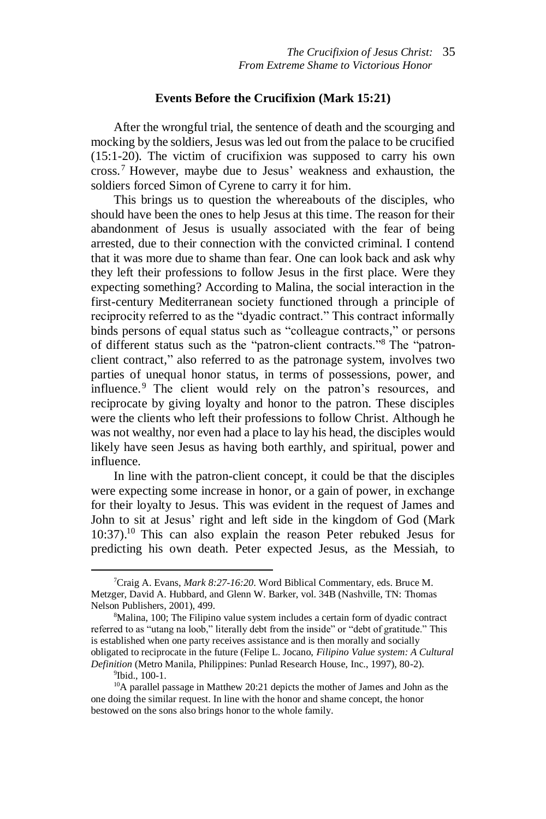#### **Events Before the Crucifixion (Mark 15:21)**

After the wrongful trial, the sentence of death and the scourging and mocking by the soldiers, Jesus was led out from the palace to be crucified (15:1-20). The victim of crucifixion was supposed to carry his own cross. <sup>7</sup> However, maybe due to Jesus' weakness and exhaustion, the soldiers forced Simon of Cyrene to carry it for him.

This brings us to question the whereabouts of the disciples, who should have been the ones to help Jesus at this time. The reason for their abandonment of Jesus is usually associated with the fear of being arrested, due to their connection with the convicted criminal. I contend that it was more due to shame than fear. One can look back and ask why they left their professions to follow Jesus in the first place. Were they expecting something? According to Malina, the social interaction in the first-century Mediterranean society functioned through a principle of reciprocity referred to as the "dyadic contract." This contract informally binds persons of equal status such as "colleague contracts," or persons of different status such as the "patron-client contracts."<sup>8</sup> The "patronclient contract," also referred to as the patronage system, involves two parties of unequal honor status, in terms of possessions, power, and influence. <sup>9</sup> The client would rely on the patron's resources, and reciprocate by giving loyalty and honor to the patron. These disciples were the clients who left their professions to follow Christ. Although he was not wealthy, nor even had a place to lay his head, the disciples would likely have seen Jesus as having both earthly, and spiritual, power and influence.

In line with the patron-client concept, it could be that the disciples were expecting some increase in honor, or a gain of power, in exchange for their loyalty to Jesus. This was evident in the request of James and John to sit at Jesus' right and left side in the kingdom of God (Mark 10:37). <sup>10</sup> This can also explain the reason Peter rebuked Jesus for predicting his own death. Peter expected Jesus, as the Messiah, to

<sup>7</sup>Craig A. Evans, *Mark 8:27-16:20*. Word Biblical Commentary, eds. Bruce M. Metzger, David A. Hubbard, and Glenn W. Barker, vol. 34B (Nashville, TN: Thomas Nelson Publishers, 2001), 499.

<sup>&</sup>lt;sup>8</sup>Malina, 100; The Filipino value system includes a certain form of dyadic contract referred to as "utang na loob," literally debt from the inside" or "debt of gratitude." This is established when one party receives assistance and is then morally and socially obligated to reciprocate in the future (Felipe L. Jocano, *Filipino Value system: A Cultural Definition* (Metro Manila, Philippines: Punlad Research House, Inc., 1997), 80-2).

<sup>9</sup> Ibid., 100-1.

<sup>10</sup>A parallel passage in Matthew 20:21 depicts the mother of James and John as the one doing the similar request. In line with the honor and shame concept, the honor bestowed on the sons also brings honor to the whole family.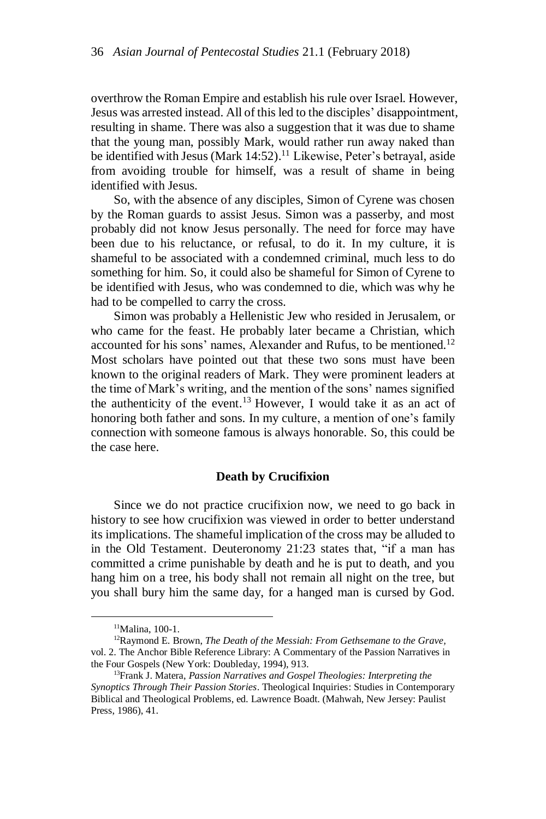overthrow the Roman Empire and establish his rule over Israel. However, Jesus was arrested instead. All of this led to the disciples' disappointment, resulting in shame. There was also a suggestion that it was due to shame that the young man, possibly Mark, would rather run away naked than be identified with Jesus (Mark 14:52).<sup>11</sup> Likewise, Peter's betrayal, aside from avoiding trouble for himself, was a result of shame in being identified with Jesus.

So, with the absence of any disciples, Simon of Cyrene was chosen by the Roman guards to assist Jesus. Simon was a passerby, and most probably did not know Jesus personally. The need for force may have been due to his reluctance, or refusal, to do it. In my culture, it is shameful to be associated with a condemned criminal, much less to do something for him. So, it could also be shameful for Simon of Cyrene to be identified with Jesus, who was condemned to die, which was why he had to be compelled to carry the cross.

Simon was probably a Hellenistic Jew who resided in Jerusalem, or who came for the feast. He probably later became a Christian, which accounted for his sons' names, Alexander and Rufus, to be mentioned.<sup>12</sup> Most scholars have pointed out that these two sons must have been known to the original readers of Mark. They were prominent leaders at the time of Mark's writing, and the mention of the sons' names signified the authenticity of the event.<sup>13</sup> However, I would take it as an act of honoring both father and sons. In my culture, a mention of one's family connection with someone famous is always honorable. So, this could be the case here.

# **Death by Crucifixion**

Since we do not practice crucifixion now, we need to go back in history to see how crucifixion was viewed in order to better understand its implications. The shameful implication of the cross may be alluded to in the Old Testament. Deuteronomy 21:23 states that, "if a man has committed a crime punishable by death and he is put to death, and you hang him on a tree, his body shall not remain all night on the tree, but you shall bury him the same day, for a hanged man is cursed by God.

<sup>11</sup>Malina, 100-1.

<sup>12</sup>Raymond E. Brown, *The Death of the Messiah: From Gethsemane to the Grave,*  vol. 2. The Anchor Bible Reference Library: A Commentary of the Passion Narratives in the Four Gospels (New York: Doubleday, 1994), 913.

<sup>13</sup>Frank J. Matera, *Passion Narratives and Gospel Theologies: Interpreting the Synoptics Through Their Passion Stories*. Theological Inquiries: Studies in Contemporary Biblical and Theological Problems, ed. Lawrence Boadt. (Mahwah, New Jersey: Paulist Press, 1986), 41.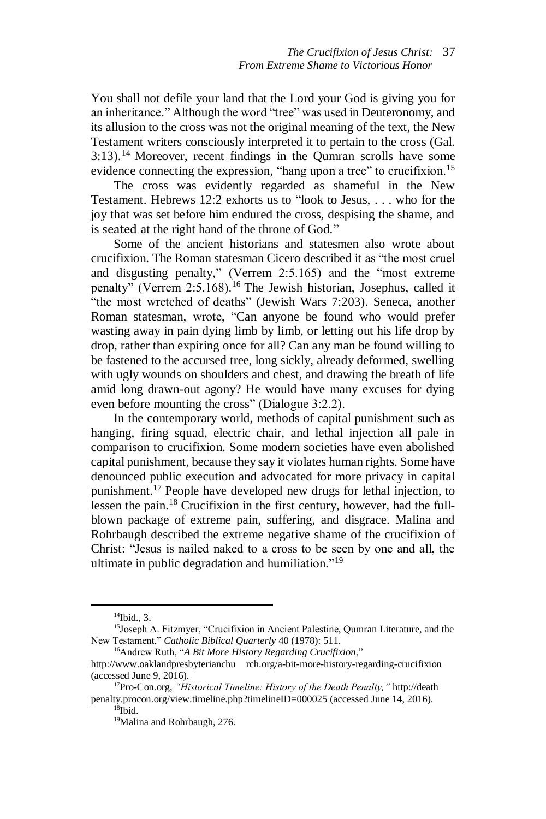You shall not defile your land that the Lord your God is giving you for an inheritance." Although the word "tree" was used in Deuteronomy, and its allusion to the cross was not the original meaning of the text, the New Testament writers consciously interpreted it to pertain to the cross (Gal. 3:13). <sup>14</sup> Moreover, recent findings in the Qumran scrolls have some evidence connecting the expression, "hang upon a tree" to crucifixion.<sup>15</sup>

The cross was evidently regarded as shameful in the New Testament. Hebrews 12:2 exhorts us to "look to Jesus, . . . who for the joy that was set before him endured the cross, despising the shame, and is seated at the right hand of the throne of God."

Some of the ancient historians and statesmen also wrote about crucifixion. The Roman statesman Cicero described it as "the most cruel and disgusting penalty," (Verrem 2:5.165) and the "most extreme penalty" (Verrem 2:5.168).<sup>16</sup> The Jewish historian, Josephus, called it "the most wretched of deaths" (Jewish Wars 7:203). Seneca, another Roman statesman, wrote, "Can anyone be found who would prefer wasting away in pain dying limb by limb, or letting out his life drop by drop, rather than expiring once for all? Can any man be found willing to be fastened to the accursed tree, long sickly, already deformed, swelling with ugly wounds on shoulders and chest, and drawing the breath of life amid long drawn-out agony? He would have many excuses for dying even before mounting the cross" (Dialogue 3:2.2).

In the contemporary world, methods of capital punishment such as hanging, firing squad, electric chair, and lethal injection all pale in comparison to crucifixion. Some modern societies have even abolished capital punishment, because they say it violates human rights. Some have denounced public execution and advocated for more privacy in capital punishment.<sup>17</sup> People have developed new drugs for lethal injection, to lessen the pain. <sup>18</sup> Crucifixion in the first century, however, had the fullblown package of extreme pain, suffering, and disgrace. Malina and Rohrbaugh described the extreme negative shame of the crucifixion of Christ: "Jesus is nailed naked to a cross to be seen by one and all, the ultimate in public degradation and humiliation."<sup>19</sup>

 $\overline{a}$ 

<sup>16</sup>Andrew Ruth, "*A Bit More History Regarding Crucifixion*,"

<sup>14</sup>Ibid., 3.

<sup>15</sup>Joseph A. Fitzmyer, "Crucifixion in Ancient Palestine, Qumran Literature, and the New Testament," *Catholic Biblical Quarterly* 40 (1978): 511.

http://www.oaklandpresbyterianchu [rch.org/a-bit-more-history-regarding-crucifixion](http://www.oaklandpresbyterianchurch.org/a-bit-more-history-regarding-crucifixion) (accessed June 9, 2016).

<sup>17</sup>Pro-Con.org, *"Historical Timeline: History of the Death Penalty,"* [http://death](http://death/) penalty.procon.o[rg/view.timeline.php?timelineID=000025](http://deathpenalty.procon.org/view.timeline.php?timelineID=000025) (accessed June 14, 2016).  $^{18}$ Ibid.

<sup>19</sup>Malina and Rohrbaugh, 276.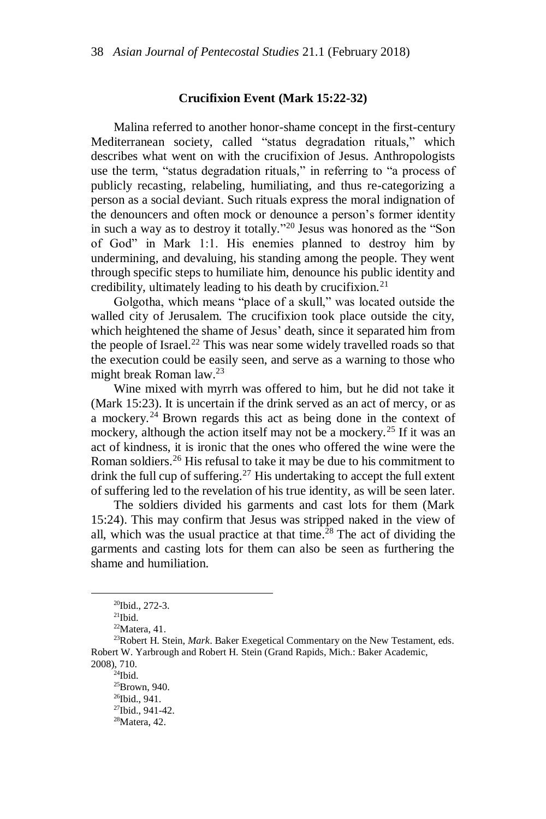### **Crucifixion Event (Mark 15:22-32)**

Malina referred to another honor-shame concept in the first-century Mediterranean society, called "status degradation rituals," which describes what went on with the crucifixion of Jesus. Anthropologists use the term, "status degradation rituals," in referring to "a process of publicly recasting, relabeling, humiliating, and thus re-categorizing a person as a social deviant. Such rituals express the moral indignation of the denouncers and often mock or denounce a person's former identity in such a way as to destroy it totally." <sup>20</sup> Jesus was honored as the "Son of God" in Mark 1:1. His enemies planned to destroy him by undermining, and devaluing, his standing among the people. They went through specific steps to humiliate him, denounce his public identity and credibility, ultimately leading to his death by crucifixion.<sup>21</sup>

Golgotha, which means "place of a skull," was located outside the walled city of Jerusalem. The crucifixion took place outside the city, which heightened the shame of Jesus' death, since it separated him from the people of Israel. <sup>22</sup> This was near some widely travelled roads so that the execution could be easily seen, and serve as a warning to those who might break Roman law. 23

Wine mixed with myrrh was offered to him, but he did not take it (Mark 15:23). It is uncertain if the drink served as an act of mercy, or as a mockery.<sup>24</sup> Brown regards this act as being done in the context of mockery, although the action itself may not be a mockery.<sup>25</sup> If it was an act of kindness, it is ironic that the ones who offered the wine were the Roman soldiers.<sup>26</sup> His refusal to take it may be due to his commitment to drink the full cup of suffering.<sup>27</sup> His undertaking to accept the full extent of suffering led to the revelation of his true identity, as will be seen later.

The soldiers divided his garments and cast lots for them (Mark 15:24). This may confirm that Jesus was stripped naked in the view of all, which was the usual practice at that time. <sup>28</sup> The act of dividing the garments and casting lots for them can also be seen as furthering the shame and humiliation.

 $\overline{\phantom{a}}$ 

 $^{24}$ Ibid.

<sup>25</sup>Brown, 940. <sup>26</sup>Ibid., 941.

<sup>20</sup>Ibid., 272-3.

 $21$ Ibid.

 $22$ Matera, 41.

<sup>23</sup>Robert H. Stein, *Mark*. Baker Exegetical Commentary on the New Testament, eds. Robert W. Yarbrough and Robert H. Stein (Grand Rapids, Mich.: Baker Academic, 2008), 710.

<sup>27</sup>Ibid., 941-42.

 $28$ Matera, 42.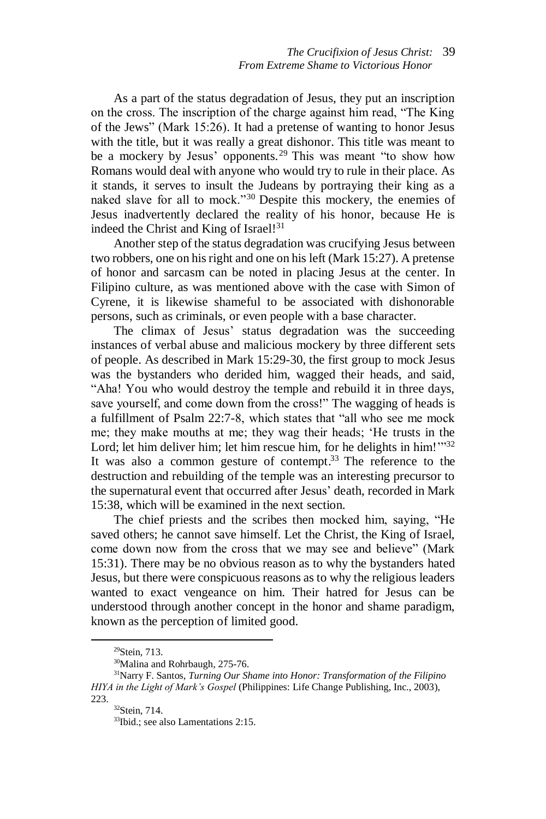As a part of the status degradation of Jesus, they put an inscription on the cross. The inscription of the charge against him read, "The King of the Jews" (Mark 15:26). It had a pretense of wanting to honor Jesus with the title, but it was really a great dishonor. This title was meant to be a mockery by Jesus' opponents.<sup>29</sup> This was meant "to show how Romans would deal with anyone who would try to rule in their place. As it stands, it serves to insult the Judeans by portraying their king as a naked slave for all to mock."<sup>30</sup> Despite this mockery, the enemies of Jesus inadvertently declared the reality of his honor, because He is indeed the Christ and King of Israel!<sup>31</sup>

Another step of the status degradation was crucifying Jesus between two robbers, one on his right and one on his left (Mark 15:27). A pretense of honor and sarcasm can be noted in placing Jesus at the center. In Filipino culture, as was mentioned above with the case with Simon of Cyrene, it is likewise shameful to be associated with dishonorable persons, such as criminals, or even people with a base character.

The climax of Jesus' status degradation was the succeeding instances of verbal abuse and malicious mockery by three different sets of people. As described in Mark 15:29-30, the first group to mock Jesus was the bystanders who derided him, wagged their heads, and said, "Aha! You who would destroy the temple and rebuild it in three days, save yourself, and come down from the cross!" The wagging of heads is a fulfillment of Psalm 22:7-8, which states that "all who see me mock me; they make mouths at me; they wag their heads; 'He trusts in the Lord; let him deliver him; let him rescue him, for he delights in him! $\frac{1}{32}$ It was also a common gesture of contempt.<sup>33</sup> The reference to the destruction and rebuilding of the temple was an interesting precursor to the supernatural event that occurred after Jesus' death, recorded in Mark 15:38, which will be examined in the next section.

The chief priests and the scribes then mocked him, saying, "He saved others; he cannot save himself. Let the Christ, the King of Israel, come down now from the cross that we may see and believe" (Mark 15:31). There may be no obvious reason as to why the bystanders hated Jesus, but there were conspicuous reasons as to why the religious leaders wanted to exact vengeance on him. Their hatred for Jesus can be understood through another concept in the honor and shame paradigm, known as the perception of limited good.

<sup>29</sup>Stein, 713.

<sup>30</sup>Malina and Rohrbaugh*,* 275-76.

<sup>31</sup>Narry F. Santos, *Turning Our Shame into Honor: Transformation of the Filipino HIYA in the Light of Mark's Gospel* (Philippines: Life Change Publishing, Inc., 2003), 223.

<sup>32</sup>Stein, 714.

<sup>33</sup>Ibid.; see also Lamentations 2:15.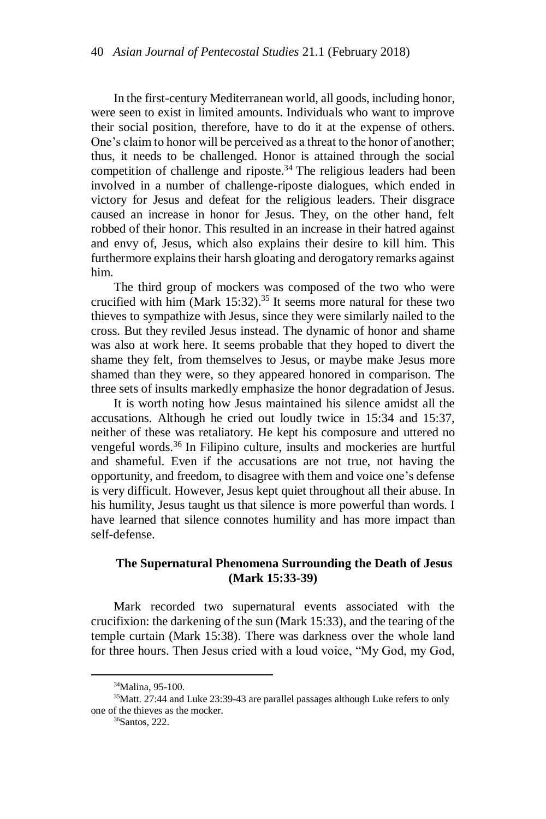In the first-century Mediterranean world, all goods, including honor, were seen to exist in limited amounts. Individuals who want to improve their social position, therefore, have to do it at the expense of others. One's claim to honor will be perceived as a threat to the honor of another; thus, it needs to be challenged. Honor is attained through the social competition of challenge and riposte. <sup>34</sup> The religious leaders had been involved in a number of challenge-riposte dialogues, which ended in victory for Jesus and defeat for the religious leaders. Their disgrace caused an increase in honor for Jesus. They, on the other hand, felt robbed of their honor. This resulted in an increase in their hatred against and envy of, Jesus, which also explains their desire to kill him. This furthermore explains their harsh gloating and derogatory remarks against him.

The third group of mockers was composed of the two who were crucified with him (Mark  $15:32$ ).<sup>35</sup> It seems more natural for these two thieves to sympathize with Jesus, since they were similarly nailed to the cross. But they reviled Jesus instead. The dynamic of honor and shame was also at work here. It seems probable that they hoped to divert the shame they felt, from themselves to Jesus, or maybe make Jesus more shamed than they were, so they appeared honored in comparison. The three sets of insults markedly emphasize the honor degradation of Jesus.

It is worth noting how Jesus maintained his silence amidst all the accusations. Although he cried out loudly twice in 15:34 and 15:37, neither of these was retaliatory. He kept his composure and uttered no vengeful words.<sup>36</sup> In Filipino culture, insults and mockeries are hurtful and shameful. Even if the accusations are not true, not having the opportunity, and freedom, to disagree with them and voice one's defense is very difficult. However, Jesus kept quiet throughout all their abuse. In his humility, Jesus taught us that silence is more powerful than words. I have learned that silence connotes humility and has more impact than self-defense.

## **The Supernatural Phenomena Surrounding the Death of Jesus (Mark 15:33-39)**

Mark recorded two supernatural events associated with the crucifixion: the darkening of the sun (Mark 15:33), and the tearing of the temple curtain (Mark 15:38). There was darkness over the whole land for three hours. Then Jesus cried with a loud voice, "My God, my God,

<sup>34</sup>Malina, 95-100.

<sup>35</sup>Matt. 27:44 and Luke 23:39-43 are parallel passages although Luke refers to only one of the thieves as the mocker.

<sup>36</sup>Santos, 222.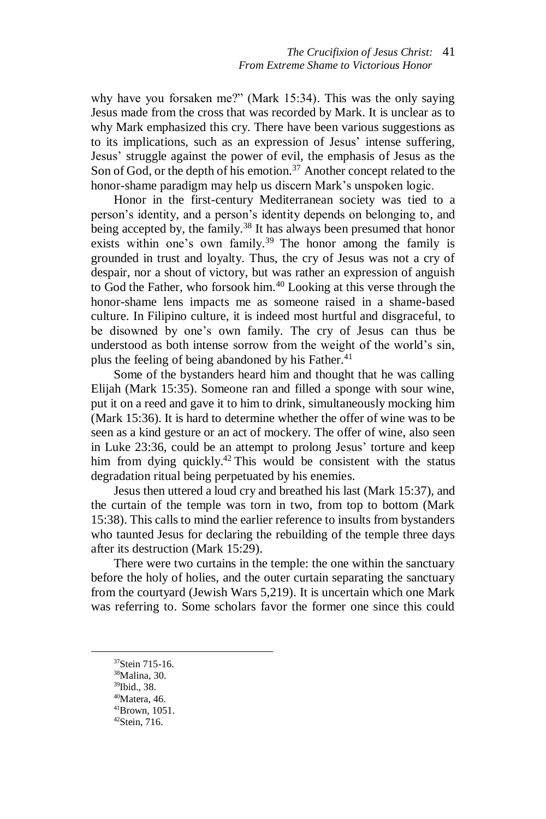why have you forsaken me?" (Mark 15:34). This was the only saying Jesus made from the cross that was recorded by Mark. It is unclear as to why Mark emphasized this cry. There have been various suggestions as to its implications, such as an expression of Jesus' intense suffering, Jesus' struggle against the power of evil, the emphasis of Jesus as the Son of God, or the depth of his emotion.<sup>37</sup> Another concept related to the honor-shame paradigm may help us discern Mark's unspoken logic.

Honor in the first-century Mediterranean society was tied to a person's identity, and a person's identity depends on belonging to, and being accepted by, the family.<sup>38</sup> It has always been presumed that honor exists within one's own family.<sup>39</sup> The honor among the family is grounded in trust and loyalty. Thus, the cry of Jesus was not a cry of despair, nor a shout of victory, but was rather an expression of anguish to God the Father, who forsook him. <sup>40</sup> Looking at this verse through the honor-shame lens impacts me as someone raised in a shame-based culture. In Filipino culture, it is indeed most hurtful and disgraceful, to be disowned by one's own family. The cry of Jesus can thus be understood as both intense sorrow from the weight of the world's sin, plus the feeling of being abandoned by his Father. 41

Some of the bystanders heard him and thought that he was calling Elijah (Mark 15:35). Someone ran and filled a sponge with sour wine, put it on a reed and gave it to him to drink, simultaneously mocking him (Mark 15:36). It is hard to determine whether the offer of wine was to be seen as a kind gesture or an act of mockery. The offer of wine, also seen in Luke 23:36, could be an attempt to prolong Jesus' torture and keep him from dying quickly.<sup>42</sup> This would be consistent with the status degradation ritual being perpetuated by his enemies.

Jesus then uttered a loud cry and breathed his last (Mark 15:37), and the curtain of the temple was torn in two, from top to bottom (Mark 15:38). This calls to mind the earlier reference to insults from bystanders who taunted Jesus for declaring the rebuilding of the temple three days after its destruction (Mark 15:29).

There were two curtains in the temple: the one within the sanctuary before the holy of holies, and the outer curtain separating the sanctuary from the courtyard (Jewish Wars 5,219). It is uncertain which one Mark was referring to. Some scholars favor the former one since this could

 $\overline{a}$ 

<sup>37</sup>Stein 715-16.

<sup>38</sup>Malina, 30.

<sup>39</sup>Ibid., 38.

 $40$ Matera, 46. <sup>41</sup>Brown, 1051.

 $42$ Stein, 716.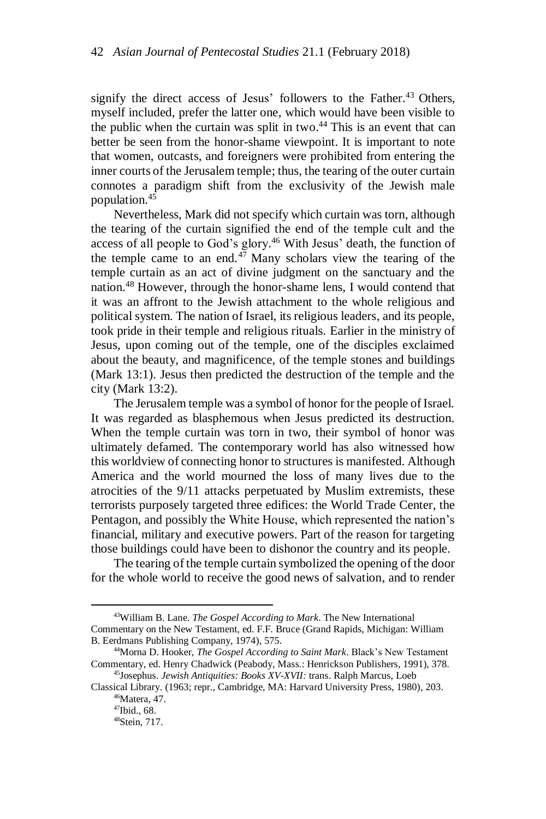signify the direct access of Jesus' followers to the Father. <sup>43</sup> Others, myself included, prefer the latter one, which would have been visible to the public when the curtain was split in two. <sup>44</sup> This is an event that can better be seen from the honor-shame viewpoint. It is important to note that women, outcasts, and foreigners were prohibited from entering the inner courts of the Jerusalem temple; thus, the tearing of the outer curtain connotes a paradigm shift from the exclusivity of the Jewish male population. 45

Nevertheless, Mark did not specify which curtain was torn, although the tearing of the curtain signified the end of the temple cult and the access of all people to God's glory. <sup>46</sup> With Jesus' death, the function of the temple came to an end. <sup>47</sup> Many scholars view the tearing of the temple curtain as an act of divine judgment on the sanctuary and the nation. <sup>48</sup> However, through the honor-shame lens, I would contend that it was an affront to the Jewish attachment to the whole religious and political system. The nation of Israel, its religious leaders, and its people, took pride in their temple and religious rituals. Earlier in the ministry of Jesus, upon coming out of the temple, one of the disciples exclaimed about the beauty, and magnificence, of the temple stones and buildings (Mark 13:1). Jesus then predicted the destruction of the temple and the city (Mark 13:2).

The Jerusalem temple was a symbol of honor for the people of Israel. It was regarded as blasphemous when Jesus predicted its destruction. When the temple curtain was torn in two, their symbol of honor was ultimately defamed. The contemporary world has also witnessed how this worldview of connecting honor to structures is manifested. Although America and the world mourned the loss of many lives due to the atrocities of the 9/11 attacks perpetuated by Muslim extremists, these terrorists purposely targeted three edifices: the World Trade Center, the Pentagon, and possibly the White House, which represented the nation's financial, military and executive powers. Part of the reason for targeting those buildings could have been to dishonor the country and its people.

The tearing of the temple curtain symbolized the opening of the door for the whole world to receive the good news of salvation, and to render

 $\overline{a}$ 

<sup>43</sup>William B. Lane. *The Gospel According to Mark*. The New International Commentary on the New Testament, ed. F.F. Bruce (Grand Rapids, Michigan: William B. Eerdmans Publishing Company, 1974), 575.

<sup>44</sup>Morna D. Hooker, *The Gospel According to Saint Mark*. Black's New Testament Commentary, ed. Henry Chadwick (Peabody, Mass.: Henrickson Publishers, 1991), 378. <sup>45</sup>Josephus. *Jewish Antiquities: Books XV-XVII:* trans. Ralph Marcus, Loeb

Classical Library. (1963; repr., Cambridge, MA: Harvard University Press, 1980), 203. <sup>46</sup>Matera, 47.

<sup>47</sup>Ibid., 68.

<sup>48</sup>Stein, 717.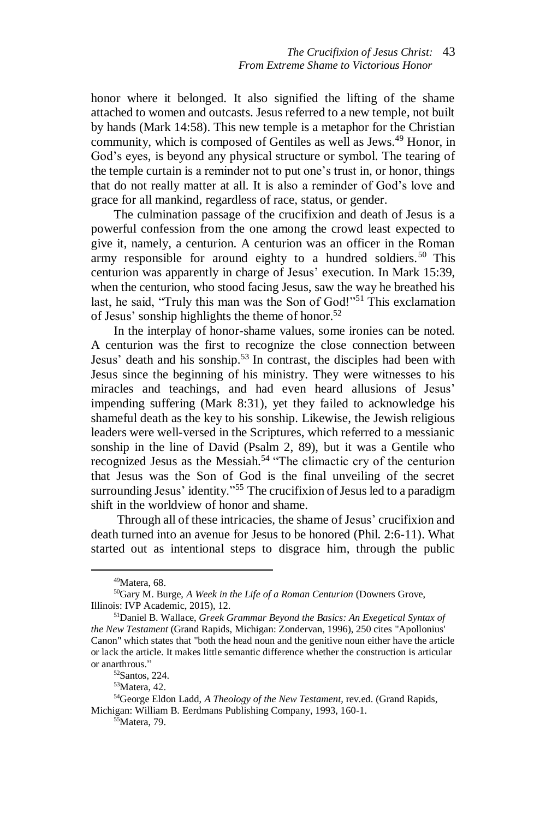honor where it belonged. It also signified the lifting of the shame attached to women and outcasts. Jesus referred to a new temple, not built by hands (Mark 14:58). This new temple is a metaphor for the Christian community, which is composed of Gentiles as well as Jews. <sup>49</sup> Honor, in God's eyes, is beyond any physical structure or symbol. The tearing of the temple curtain is a reminder not to put one's trust in, or honor, things that do not really matter at all. It is also a reminder of God's love and grace for all mankind, regardless of race, status, or gender.

The culmination passage of the crucifixion and death of Jesus is a powerful confession from the one among the crowd least expected to give it, namely, a centurion. A centurion was an officer in the Roman army responsible for around eighty to a hundred soldiers. <sup>50</sup> This centurion was apparently in charge of Jesus' execution. In Mark 15:39, when the centurion, who stood facing Jesus, saw the way he breathed his last, he said, "Truly this man was the Son of God!"<sup>51</sup> This exclamation of Jesus' sonship highlights the theme of honor. 52

In the interplay of honor-shame values, some ironies can be noted. A centurion was the first to recognize the close connection between Jesus' death and his sonship. <sup>53</sup> In contrast, the disciples had been with Jesus since the beginning of his ministry. They were witnesses to his miracles and teachings, and had even heard allusions of Jesus' impending suffering (Mark 8:31), yet they failed to acknowledge his shameful death as the key to his sonship. Likewise, the Jewish religious leaders were well-versed in the Scriptures, which referred to a messianic sonship in the line of David (Psalm 2, 89), but it was a Gentile who recognized Jesus as the Messiah.<sup>54</sup> "The climactic cry of the centurion that Jesus was the Son of God is the final unveiling of the secret surrounding Jesus' identity."<sup>55</sup> The crucifixion of Jesus led to a paradigm shift in the worldview of honor and shame.

Through all of these intricacies, the shame of Jesus' crucifixion and death turned into an avenue for Jesus to be honored (Phil. 2:6-11). What started out as intentional steps to disgrace him, through the public

 $49$ Matera, 68.

<sup>50</sup>Gary M. Burge, *A Week in the Life of a Roman Centurion* (Downers Grove, Illinois: IVP Academic, 2015), 12.

<sup>51</sup>Daniel B. Wallace, *Greek Grammar Beyond the Basics: An Exegetical Syntax of the New Testament* (Grand Rapids, Michigan: Zondervan, 1996), 250 cites "Apollonius' Canon" which states that "both the head noun and the genitive noun either have the article or lack the article. It makes little semantic difference whether the construction is articular or anarthrous."

<sup>52</sup>Santos, 224.

<sup>53</sup>Matera, 42.

<sup>54</sup>George Eldon Ladd, *A Theology of the New Testament,* rev.ed. (Grand Rapids, Michigan: William B. Eerdmans Publishing Company, 1993, 160-1.

<sup>&</sup>lt;sup>55</sup>Matera, 79.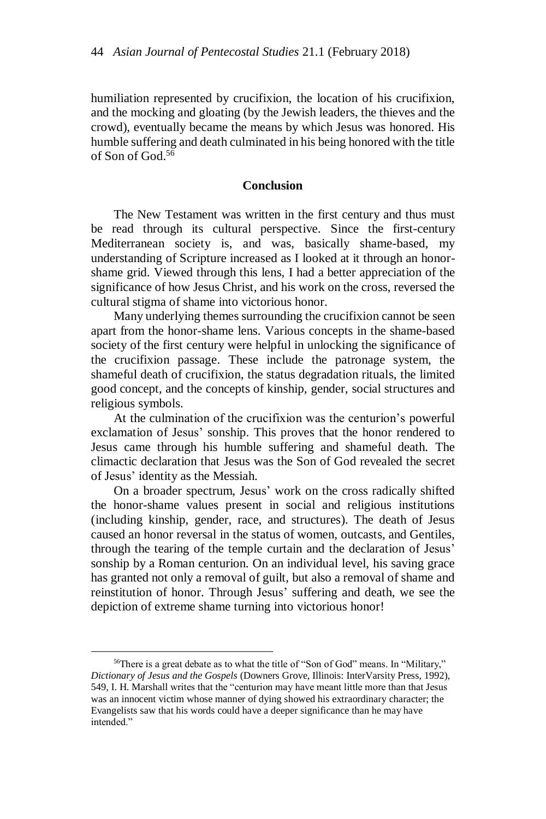humiliation represented by crucifixion, the location of his crucifixion, and the mocking and gloating (by the Jewish leaders, the thieves and the crowd), eventually became the means by which Jesus was honored. His humble suffering and death culminated in his being honored with the title of Son of God.<sup>56</sup>

## **Conclusion**

The New Testament was written in the first century and thus must be read through its cultural perspective. Since the first-century Mediterranean society is, and was, basically shame-based, my understanding of Scripture increased as I looked at it through an honorshame grid. Viewed through this lens, I had a better appreciation of the significance of how Jesus Christ, and his work on the cross, reversed the cultural stigma of shame into victorious honor.

Many underlying themes surrounding the crucifixion cannot be seen apart from the honor-shame lens. Various concepts in the shame-based society of the first century were helpful in unlocking the significance of the crucifixion passage. These include the patronage system, the shameful death of crucifixion, the status degradation rituals, the limited good concept, and the concepts of kinship, gender, social structures and religious symbols.

At the culmination of the crucifixion was the centurion's powerful exclamation of Jesus' sonship. This proves that the honor rendered to Jesus came through his humble suffering and shameful death. The climactic declaration that Jesus was the Son of God revealed the secret of Jesus' identity as the Messiah.

On a broader spectrum, Jesus' work on the cross radically shifted the honor-shame values present in social and religious institutions (including kinship, gender, race, and structures). The death of Jesus caused an honor reversal in the status of women, outcasts, and Gentiles, through the tearing of the temple curtain and the declaration of Jesus' sonship by a Roman centurion. On an individual level, his saving grace has granted not only a removal of guilt, but also a removal of shame and reinstitution of honor. Through Jesus' suffering and death, we see the depiction of extreme shame turning into victorious honor!

 $\overline{a}$ 

<sup>56</sup>There is a great debate as to what the title of "Son of God" means. In "Military," *Dictionary of Jesus and the Gospels* (Downers Grove, Illinois: InterVarsity Press, 1992), 549, I. H. Marshall writes that the "centurion may have meant little more than that Jesus was an innocent victim whose manner of dying showed his extraordinary character; the Evangelists saw that his words could have a deeper significance than he may have intended."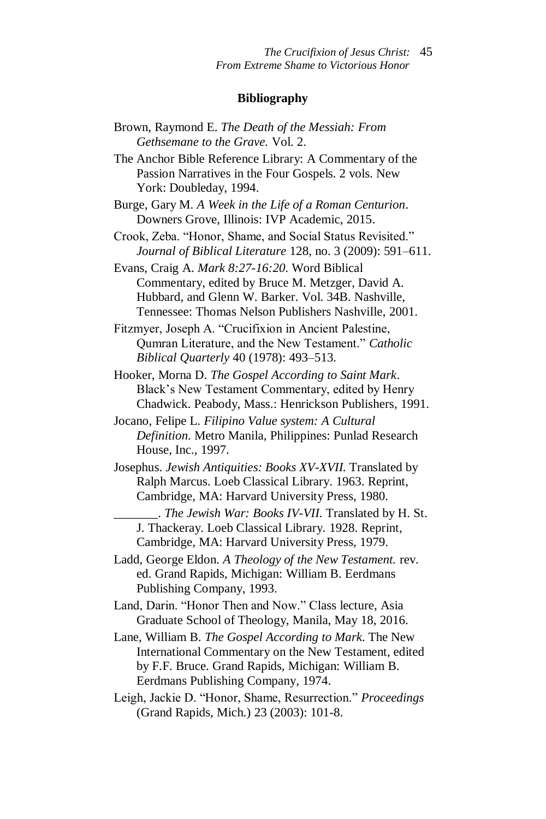#### **Bibliography**

- Brown, Raymond E. *The Death of the Messiah: From Gethsemane to the Grave.* Vol. 2. The Anchor Bible Reference Library: A Commentary of the Passion Narratives in the Four Gospels. 2 vols. New York: Doubleday, 1994. Burge, Gary M. *A Week in the Life of a Roman Centurion*. Downers Grove, Illinois: IVP Academic, 2015. Crook, Zeba. "Honor, Shame, and Social Status Revisited." *Journal of Biblical Literature* 128, no. 3 (2009): 591–611. Evans, Craig A. *Mark 8:27-16:20*. Word Biblical Commentary, edited by Bruce M. Metzger, David A. Hubbard, and Glenn W. Barker. Vol. 34B. Nashville, Tennessee: Thomas Nelson Publishers Nashville, 2001. Fitzmyer, Joseph A. "Crucifixion in Ancient Palestine, Qumran Literature, and the New Testament." *Catholic Biblical Quarterly* 40 (1978): 493–513. Hooker, Morna D. *The Gospel According to Saint Mark*. Black's New Testament Commentary, edited by Henry Chadwick. Peabody, Mass.: Henrickson Publishers, 1991. Jocano, Felipe L. *Filipino Value system: A Cultural Definition*. Metro Manila, Philippines: Punlad Research House, Inc., 1997. Josephus. *Jewish Antiquities: Books XV-XVII.* Translated by Ralph Marcus. Loeb Classical Library. 1963. Reprint, Cambridge, MA: Harvard University Press, 1980. \_\_\_\_\_\_\_. *The Jewish War: Books IV-VII.* Translated by H. St. J. Thackeray. Loeb Classical Library. 1928. Reprint, Cambridge, MA: Harvard University Press, 1979. Ladd, George Eldon. *A Theology of the New Testament.* rev. ed. Grand Rapids, Michigan: William B. Eerdmans Publishing Company, 1993. Land, Darin. "Honor Then and Now." Class lecture, Asia Graduate School of Theology, Manila, May 18, 2016.
- Lane, William B. *The Gospel According to Mark*. The New International Commentary on the New Testament, edited by F.F. Bruce. Grand Rapids, Michigan: William B. Eerdmans Publishing Company, 1974.
- Leigh, Jackie D. "Honor, Shame, Resurrection." *Proceedings* (Grand Rapids, Mich.) 23 (2003): 101-8.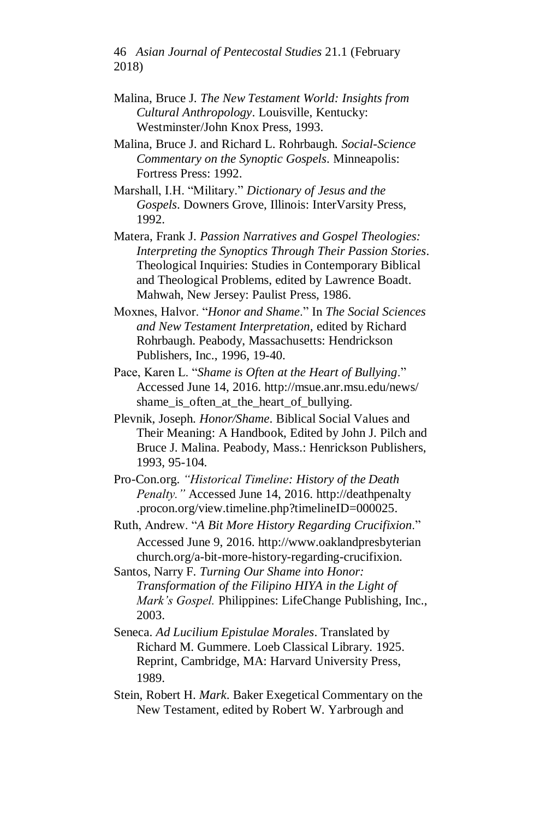46 *Asian Journal of Pentecostal Studies* 21.1 (February 2018)

- Malina, Bruce J. *The New Testament World: Insights from Cultural Anthropology*. Louisville, Kentucky: Westminster/John Knox Press, 1993.
- Malina, Bruce J. and Richard L. Rohrbaugh. *Social-Science Commentary on the Synoptic Gospels*. Minneapolis: Fortress Press: 1992.
- Marshall, I.H. "Military." *Dictionary of Jesus and the Gospels*. Downers Grove, Illinois: InterVarsity Press, 1992.
- Matera, Frank J. *Passion Narratives and Gospel Theologies: Interpreting the Synoptics Through Their Passion Stories*. Theological Inquiries: Studies in Contemporary Biblical and Theological Problems, edited by Lawrence Boadt. Mahwah, New Jersey: Paulist Press, 1986.
- Moxnes, Halvor. "*Honor and Shame*." In *The Social Sciences and New Testament Interpretation,* edited by Richard Rohrbaugh. Peabody, Massachusetts: Hendrickson Publishers, Inc., 1996, 19-40.
- Pace, Karen L. "*Shame is Often at the Heart of Bullying*." Accessed June 14, 2016.<http://msue.anr.msu.edu/news/> shame\_is\_often\_at\_the\_heart\_of\_bullying.
- Plevnik, Joseph. *Honor/Shame*. Biblical Social Values and Their Meaning: A Handbook, Edited by John J. Pilch and Bruce J. Malina. Peabody, Mass.: Henrickson Publishers, 1993, 95-104.
- Pro-Con.org. *"Historical Timeline: History of the Death Penalty."* Accessed June 14, 2016. [http://deathpenalty](http://deathpenalty/) .procon.org/view.timeline.php?timelineID=000025.
- Ruth, Andrew. "*A Bit More History Regarding Crucifixion*." Accessed June 9, 2016. http://www.oaklandpresbyterian church.org/a-bit-more-history-regarding-crucifixion.
- Santos, Narry F. *Turning Our Shame into Honor: Transformation of the Filipino HIYA in the Light of Mark's Gospel.* Philippines: LifeChange Publishing, Inc., 2003.
- Seneca. *Ad Lucilium Epistulae Morales*. Translated by Richard M. Gummere. Loeb Classical Library. 1925. Reprint, Cambridge, MA: Harvard University Press, 1989.
- Stein, Robert H. *Mark*. Baker Exegetical Commentary on the New Testament, edited by Robert W. Yarbrough and